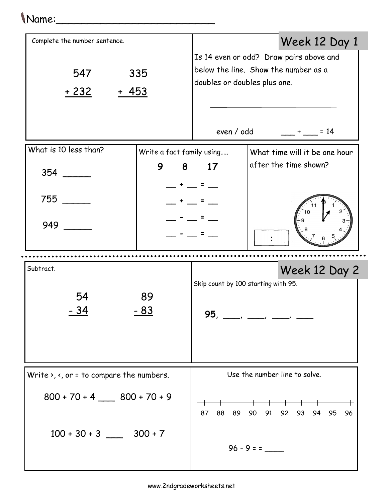## Name:\_\_\_\_\_\_\_\_\_\_\_\_\_\_\_\_\_\_\_\_\_\_\_\_\_

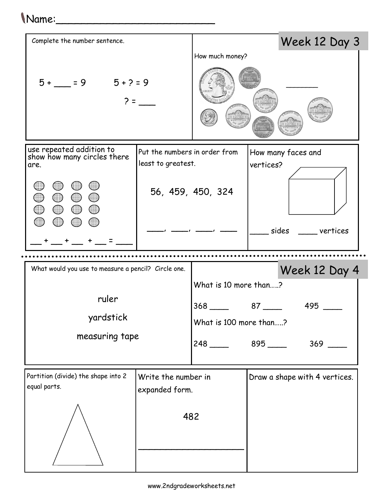| (Name:                                                             |                                                     |                                        |           |                                |
|--------------------------------------------------------------------|-----------------------------------------------------|----------------------------------------|-----------|--------------------------------|
| Complete the number sentence.                                      |                                                     |                                        |           | Week 12 Day 3                  |
|                                                                    |                                                     | How much money?                        |           |                                |
| $5+ = 9$ $5+?=9$                                                   |                                                     |                                        |           |                                |
| use repeated addition to<br>show how many circles there<br>are.    | Put the numbers in order from<br>least to greatest. |                                        | vertices? | How many faces and             |
| $\overline{\phantom{a}}$<br>$\bigcirc$<br>$\bigcirc$<br>$\bigcirc$ |                                                     | 56, 459, 450, 324                      |           |                                |
|                                                                    |                                                     |                                        |           | sides ____ vertices            |
|                                                                    |                                                     |                                        |           |                                |
| What would you use to measure a pencil? Circle one.                |                                                     |                                        |           | Week 12 Day 4                  |
|                                                                    |                                                     | What is 10 more than?                  |           |                                |
| ruler                                                              |                                                     | $368$ $87$ $368$                       |           | 495                            |
| yardstick                                                          |                                                     | What is 100 more than?                 |           |                                |
| measuring tape                                                     |                                                     | $248$ $895$ $\_\_\_\_\_\_\_\_\_\_\_\_$ |           | $369$ $\phantom{0}\phantom{0}$ |
| Partition (divide) the shape into 2                                | Write the number in                                 |                                        |           | Draw a shape with 4 vertices.  |
| equal parts.                                                       | expanded form.                                      |                                        |           |                                |
|                                                                    |                                                     | 482                                    |           |                                |
|                                                                    |                                                     |                                        |           |                                |